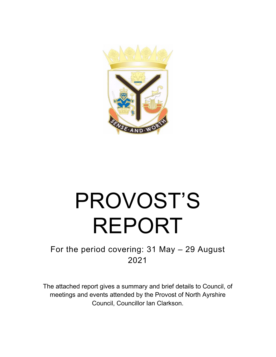

# PROVOST'S REPORT

### For the period covering: 31 May – 29 August 2021

The attached report gives a summary and brief details to Council, of meetings and events attended by the Provost of North Ayrshire Council, Councillor Ian Clarkson.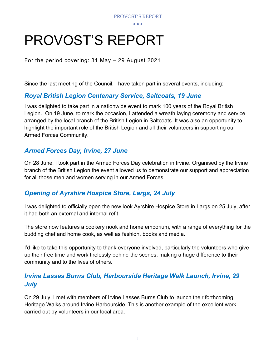• • •

## PROVOST'S REPORT

For the period covering: 31 May – 29 August 2021

Since the last meeting of the Council, I have taken part in several events, including:

#### *Royal British Legion Centenary Service, Saltcoats, 19 June*

I was delighted to take part in a nationwide event to mark 100 years of the Royal British Legion. On 19 June, to mark the occasion, I attended a wreath laying ceremony and service arranged by the local branch of the British Legion in Saltcoats. It was also an opportunity to highlight the important role of the British Legion and all their volunteers in supporting our Armed Forces Community.

#### *Armed Forces Day, Irvine, 27 June*

On 28 June, I took part in the Armed Forces Day celebration in Irvine. Organised by the Irvine branch of the British Legion the event allowed us to demonstrate our support and appreciation for all those men and women serving in our Armed Forces.

#### *Opening of Ayrshire Hospice Store, Largs, 24 July*

I was delighted to officially open the new look Ayrshire Hospice Store in Largs on 25 July, after it had both an external and internal refit.

The store now features a cookery nook and home emporium, with a range of everything for the budding chef and home cook, as well as fashion, books and media.

I'd like to take this opportunity to thank everyone involved, particularly the volunteers who give up their free time and work tirelessly behind the scenes, making a huge difference to their community and to the lives of others.

#### *Irvine Lasses Burns Club, Harbourside Heritage Walk Launch, Irvine, 29 July*

On 29 July, I met with members of Irvine Lasses Burns Club to launch their forthcoming Heritage Walks around Irvine Harbourside. This is another example of the excellent work carried out by volunteers in our local area.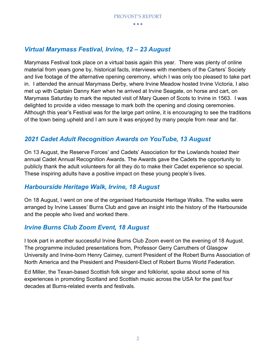• • •

#### *Virtual Marymass Festival, Irvine, 12 – 23 August*

Marymass Festival took place on a virtual basis again this year. There was plenty of online material from years gone by, historical facts, interviews with members of the Carters' Society and live footage of the alternative opening ceremony, which I was only too pleased to take part in. I attended the annual Marymass Derby, where Irvine Meadow hosted Irvine Victoria, I also met up with Captain Danny Kerr when he arrived at Irvine Seagate, on horse and cart, on Marymass Saturday to mark the reputed visit of Mary Queen of Scots to Irvine in 1563. I was delighted to provide a video message to mark both the opening and closing ceremonies. Although this year's Festival was for the large part online, it is encouraging to see the traditions of the town being upheld and I am sure it was enjoyed by many people from near and far.

#### *2021 Cadet Adult Recognition Awards on YouTube, 13 August*

On 13 August, the Reserve Forces' and Cadets' Association for the Lowlands hosted their annual Cadet Annual Recognition Awards. The Awards gave the Cadets the opportunity to publicly thank the adult volunteers for all they do to make their Cadet experience so special. These inspiring adults have a positive impact on these young people's lives.

#### *Harbourside Heritage Walk, Irvine, 18 August*

On 18 August, I went on one of the organised Harbourside Heritage Walks. The walks were arranged by Irvine Lasses' Burns Club and gave an insight into the history of the Harbourside and the people who lived and worked there.

#### *Irvine Burns Club Zoom Event, 18 August*

I took part in another successful Irvine Burns Club Zoom event on the evening of 18 August. The programme included presentations from, Professor Gerry Carruthers of Glasgow University and Irvine-born Henry Cairney, current President of the Robert Burns Association of North America and the President and President-Elect of Robert Burns World Federation.

Ed Miller, the Texan-based Scottish folk singer and folklorist, spoke about some of his experiences in promoting Scotland and Scottish music across the USA for the past four decades at Burns-related events and festivals.